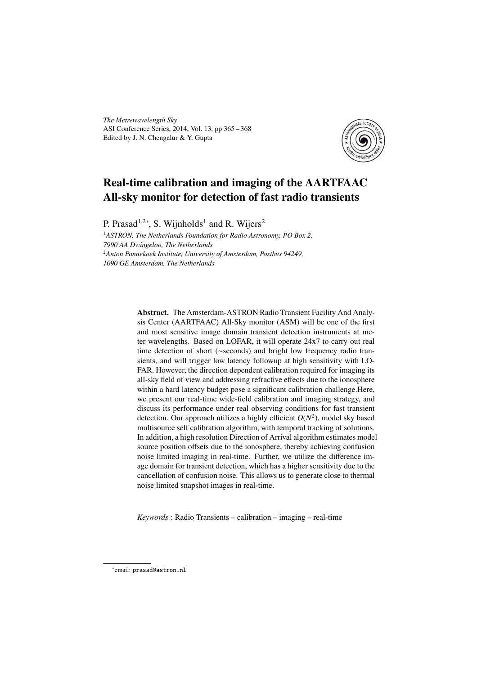*The Metrewavelength Sky* ASI Conference Series, 2014, Vol. 13, pp 365 – 368 Edited by J. N. Chengalur & Y. Gupta



# Real-time calibration and imaging of the AARTFAAC All-sky monitor for detection of fast radio transients

P. Prasad<sup>1,2∗</sup>, S. Wijnholds<sup>1</sup> and R. Wijers<sup>2</sup>

<sup>1</sup>*ASTRON, The Netherlands Foundation for Radio Astronomy, PO Box 2, 7990 AA Dwingeloo, The Netherlands* <sup>2</sup>*Anton Pannekoek Institute, University of Amsterdam, Postbus 94249, 1090 GE Amsterdam, The Netherlands*

> Abstract. The Amsterdam-ASTRON Radio Transient Facility And Analysis Center (AARTFAAC) All-Sky monitor (ASM) will be one of the first and most sensitive image domain transient detection instruments at meter wavelengths. Based on LOFAR, it will operate 24x7 to carry out real time detection of short (∼seconds) and bright low frequency radio transients, and will trigger low latency followup at high sensitivity with LO-FAR. However, the direction dependent calibration required for imaging its all-sky field of view and addressing refractive effects due to the ionosphere within a hard latency budget pose a significant calibration challenge.Here, we present our real-time wide-field calibration and imaging strategy, and discuss its performance under real observing conditions for fast transient detection. Our approach utilizes a highly efficient  $O(N^2)$ , model sky based multisource self calibration algorithm, with temporal tracking of solutions. In addition, a high resolution Direction of Arrival algorithm estimates model source position offsets due to the ionosphere, thereby achieving confusion noise limited imaging in real-time. Further, we utilize the difference image domain for transient detection, which has a higher sensitivity due to the cancellation of confusion noise. This allows us to generate close to thermal noise limited snapshot images in real-time.

*Keywords* : Radio Transients – calibration – imaging – real-time

<sup>∗</sup> email: prasad@astron.nl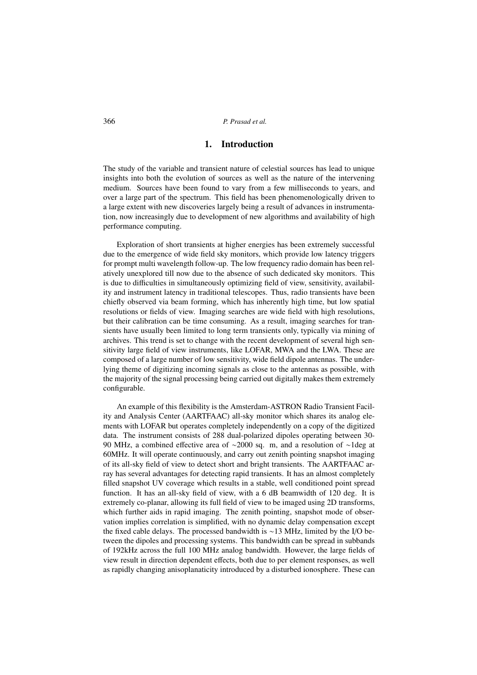# 1. Introduction

The study of the variable and transient nature of celestial sources has lead to unique insights into both the evolution of sources as well as the nature of the intervening medium. Sources have been found to vary from a few milliseconds to years, and over a large part of the spectrum. This field has been phenomenologically driven to a large extent with new discoveries largely being a result of advances in instrumentation, now increasingly due to development of new algorithms and availability of high performance computing.

Exploration of short transients at higher energies has been extremely successful due to the emergence of wide field sky monitors, which provide low latency triggers for prompt multi wavelength follow-up. The low frequency radio domain has been relatively unexplored till now due to the absence of such dedicated sky monitors. This is due to difficulties in simultaneously optimizing field of view, sensitivity, availability and instrument latency in traditional telescopes. Thus, radio transients have been chiefly observed via beam forming, which has inherently high time, but low spatial resolutions or fields of view. Imaging searches are wide field with high resolutions, but their calibration can be time consuming. As a result, imaging searches for transients have usually been limited to long term transients only, typically via mining of archives. This trend is set to change with the recent development of several high sensitivity large field of view instruments, like LOFAR, MWA and the LWA. These are composed of a large number of low sensitivity, wide field dipole antennas. The underlying theme of digitizing incoming signals as close to the antennas as possible, with the majority of the signal processing being carried out digitally makes them extremely configurable.

An example of this flexibility is the Amsterdam-ASTRON Radio Transient Facility and Analysis Center (AARTFAAC) all-sky monitor which shares its analog elements with LOFAR but operates completely independently on a copy of the digitized data. The instrument consists of 288 dual-polarized dipoles operating between 30- 90 MHz, a combined effective area of ∼2000 sq. m, and a resolution of ∼1deg at 60MHz. It will operate continuously, and carry out zenith pointing snapshot imaging of its all-sky field of view to detect short and bright transients. The AARTFAAC array has several advantages for detecting rapid transients. It has an almost completely filled snapshot UV coverage which results in a stable, well conditioned point spread function. It has an all-sky field of view, with a 6 dB beamwidth of 120 deg. It is extremely co-planar, allowing its full field of view to be imaged using 2D transforms, which further aids in rapid imaging. The zenith pointing, snapshot mode of observation implies correlation is simplified, with no dynamic delay compensation except the fixed cable delays. The processed bandwidth is ∼13 MHz, limited by the I/O between the dipoles and processing systems. This bandwidth can be spread in subbands of 192kHz across the full 100 MHz analog bandwidth. However, the large fields of view result in direction dependent effects, both due to per element responses, as well as rapidly changing anisoplanaticity introduced by a disturbed ionosphere. These can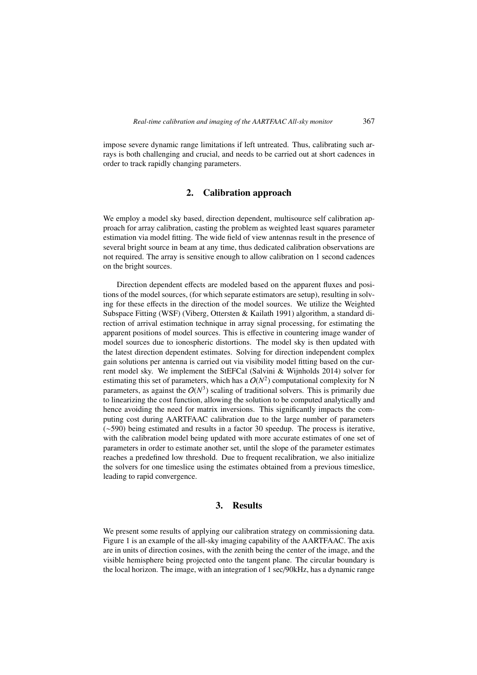impose severe dynamic range limitations if left untreated. Thus, calibrating such arrays is both challenging and crucial, and needs to be carried out at short cadences in order to track rapidly changing parameters.

### 2. Calibration approach

We employ a model sky based, direction dependent, multisource self calibration approach for array calibration, casting the problem as weighted least squares parameter estimation via model fitting. The wide field of view antennas result in the presence of several bright source in beam at any time, thus dedicated calibration observations are not required. The array is sensitive enough to allow calibration on 1 second cadences on the bright sources.

Direction dependent effects are modeled based on the apparent fluxes and positions of the model sources, (for which separate estimators are setup), resulting in solving for these effects in the direction of the model sources. We utilize the Weighted Subspace Fitting (WSF) (Viberg, Ottersten & Kailath 1991) algorithm, a standard direction of arrival estimation technique in array signal processing, for estimating the apparent positions of model sources. This is effective in countering image wander of model sources due to ionospheric distortions. The model sky is then updated with the latest direction dependent estimates. Solving for direction independent complex gain solutions per antenna is carried out via visibility model fitting based on the current model sky. We implement the StEFCal (Salvini & Wijnholds 2014) solver for estimating this set of parameters, which has a  $O(N^2)$  computational complexity for N parameters, as against the  $O(N^3)$  scaling of traditional solvers. This is primarily due to linearizing the cost function, allowing the solution to be computed analytically and hence avoiding the need for matrix inversions. This significantly impacts the computing cost during AARTFAAC calibration due to the large number of parameters (∼590) being estimated and results in a factor 30 speedup. The process is iterative, with the calibration model being updated with more accurate estimates of one set of parameters in order to estimate another set, until the slope of the parameter estimates reaches a predefined low threshold. Due to frequent recalibration, we also initialize the solvers for one timeslice using the estimates obtained from a previous timeslice, leading to rapid convergence.

## 3. Results

We present some results of applying our calibration strategy on commissioning data. Figure 1 is an example of the all-sky imaging capability of the AARTFAAC. The axis are in units of direction cosines, with the zenith being the center of the image, and the visible hemisphere being projected onto the tangent plane. The circular boundary is the local horizon. The image, with an integration of 1 sec/90kHz, has a dynamic range